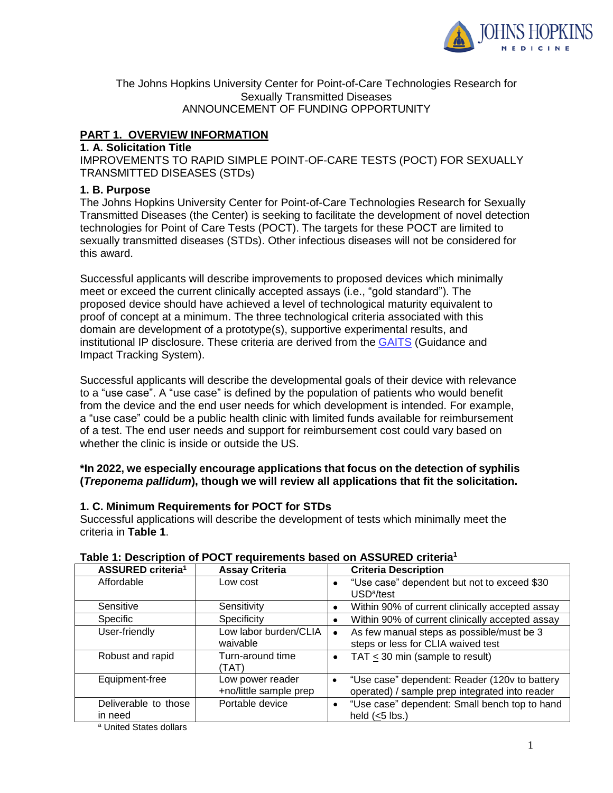

The Johns Hopkins University Center for Point-of-Care Technologies Research for Sexually Transmitted Diseases ANNOUNCEMENT OF FUNDING OPPORTUNITY

# **PART 1. OVERVIEW INFORMATION**

#### **1. A. Solicitation Title**

IMPROVEMENTS TO RAPID SIMPLE POINT-OF-CARE TESTS (POCT) FOR SEXUALLY TRANSMITTED DISEASES (STDs)

#### **1. B. Purpose**

The Johns Hopkins University Center for Point-of-Care Technologies Research for Sexually Transmitted Diseases (the Center) is seeking to facilitate the development of novel detection technologies for Point of Care Tests (POCT). The targets for these POCT are limited to sexually transmitted diseases (STDs). Other infectious diseases will not be considered for this award.

Successful applicants will describe improvements to proposed devices which minimally meet or exceed the current clinically accepted assays (i.e., "gold standard"). The proposed device should have achieved a level of technological maturity equivalent to proof of concept at a minimum. The three technological criteria associated with this domain are development of a prototype(s), supportive experimental results, and institutional IP disclosure. These criteria are derived from the [GAITS](https://cimit.net/web/gaits-community/-/1b-gaits-overview) (Guidance and Impact Tracking System).

Successful applicants will describe the developmental goals of their device with relevance to a "use case". A "use case" is defined by the population of patients who would benefit from the device and the end user needs for which development is intended. For example, a "use case" could be a public health clinic with limited funds available for reimbursement of a test. The end user needs and support for reimbursement cost could vary based on whether the clinic is inside or outside the US.

### **\*In 2022, we especially encourage applications that focus on the detection of syphilis (***Treponema pallidum***), though we will review all applications that fit the solicitation.**

### **1. C. Minimum Requirements for POCT for STDs**

Successful applications will describe the development of tests which minimally meet the criteria in **Table 1**.

| ASSURED criteria <sup>1</sup>   | <b>Assay Criteria</b>                      | <b>Criteria Description</b>                                                                                  |  |
|---------------------------------|--------------------------------------------|--------------------------------------------------------------------------------------------------------------|--|
| Affordable                      | Low cost                                   | "Use case" dependent but not to exceed \$30<br>$\bullet$<br>USD <sup>a</sup> /test                           |  |
| Sensitive                       | Sensitivity                                | Within 90% of current clinically accepted assay<br>٠                                                         |  |
| Specific                        | Specificity                                | Within 90% of current clinically accepted assay<br>$\bullet$                                                 |  |
| User-friendly                   | Low labor burden/CLIA<br>waivable          | As few manual steps as possible/must be 3<br>$\bullet$<br>steps or less for CLIA waived test                 |  |
| Robust and rapid                | Turn-around time<br>(TAT)                  | TAT < 30 min (sample to result)<br>$\bullet$                                                                 |  |
| Equipment-free                  | Low power reader<br>+no/little sample prep | "Use case" dependent: Reader (120v to battery<br>$\bullet$<br>operated) / sample prep integrated into reader |  |
| Deliverable to those<br>in need | Portable device                            | "Use case" dependent: Small bench top to hand<br>$\bullet$<br>held $(<5$ lbs.)                               |  |

### **Table 1: Description of POCT requirements based on ASSURED criteria<sup>1</sup>**

<sup>a</sup> United States dollars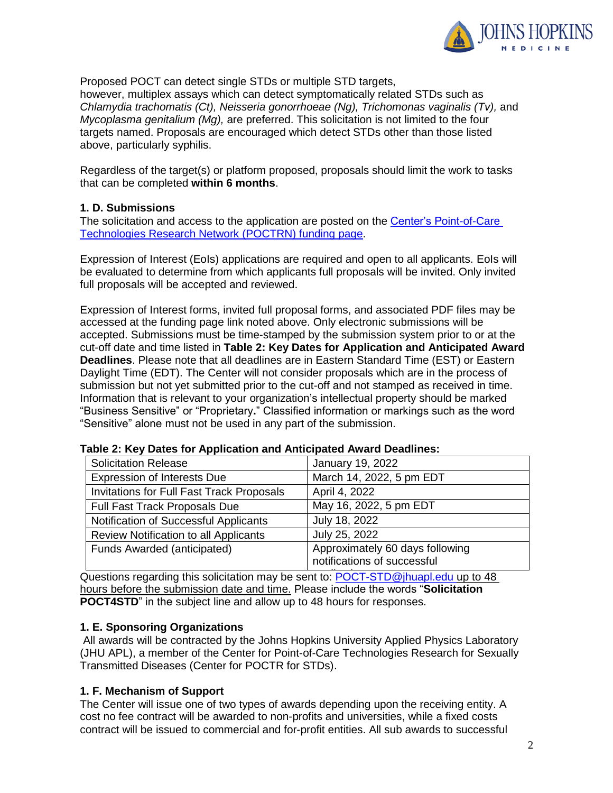

Proposed POCT can detect single STDs or multiple STD targets,

however, multiplex assays which can detect symptomatically related STDs such as *Chlamydia trachomatis (Ct), Neisseria gonorrhoeae (Ng), Trichomonas vaginalis (Tv),* and *Mycoplasma genitalium (Mg),* are preferred. This solicitation is not limited to the four targets named. Proposals are encouraged which detect STDs other than those listed above, particularly syphilis.

Regardless of the target(s) or platform proposed, proposals should limit the work to tasks that can be completed **within 6 months**.

#### **1. D. Submissions**

The solicitation and access to the application are posted on the [Center's Point-of-Care](https://cimit.net/web/jhu/solicitations)  [Technologies Research Network \(POCTRN\) funding page.](https://cimit.net/web/jhu/solicitations)

Expression of Interest (EoIs) applications are required and open to all applicants. EoIs will be evaluated to determine from which applicants full proposals will be invited. Only invited full proposals will be accepted and reviewed.

Expression of Interest forms, invited full proposal forms, and associated PDF files may be accessed at the funding page link noted above. Only electronic submissions will be accepted. Submissions must be time-stamped by the submission system prior to or at the cut-off date and time listed in **Table 2: Key Dates for Application and Anticipated Award Deadlines**. Please note that all deadlines are in Eastern Standard Time (EST) or Eastern Daylight Time (EDT). The Center will not consider proposals which are in the process of submission but not yet submitted prior to the cut-off and not stamped as received in time. Information that is relevant to your organization's intellectual property should be marked "Business Sensitive" or "Proprietary**.**" Classified information or markings such as the word "Sensitive" alone must not be used in any part of the submission.

| <b>Solicitation Release</b>                      | January 19, 2022                                               |  |
|--------------------------------------------------|----------------------------------------------------------------|--|
| <b>Expression of Interests Due</b>               | March 14, 2022, 5 pm EDT                                       |  |
| <b>Invitations for Full Fast Track Proposals</b> | April 4, 2022                                                  |  |
| Full Fast Track Proposals Due                    | May 16, 2022, 5 pm EDT                                         |  |
| Notification of Successful Applicants            | July 18, 2022                                                  |  |
| <b>Review Notification to all Applicants</b>     | July 25, 2022                                                  |  |
| Funds Awarded (anticipated)                      | Approximately 60 days following<br>notifications of successful |  |

#### **Table 2: Key Dates for Application and Anticipated Award Deadlines:**

Questionsregarding this solicitation may be sent to: **POCT-STD@jhuapl.edu up to 48** hours before the submission date and time. Please include the words "**Solicitation POCT4STD**" in the subject line and allow up to 48 hours for responses.

### **1. E. Sponsoring Organizations**

All awards will be contracted by the Johns Hopkins University Applied Physics Laboratory (JHU APL), a member of the Center for Point-of-Care Technologies Research for Sexually Transmitted Diseases (Center for POCTR for STDs).

### **1. F. Mechanism of Support**

The Center will issue one of two types of awards depending upon the receiving entity. A cost no fee contract will be awarded to non-profits and universities, while a fixed costs contract will be issued to commercial and for-profit entities. All sub awards to successful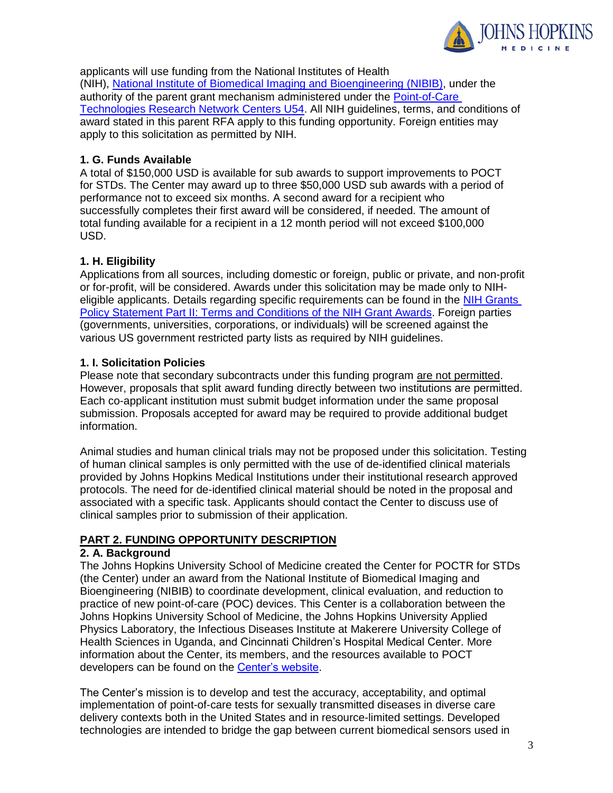

applicants will use funding from the National Institutes of Health (NIH), [National Institute of Biomedical Imaging and Bioengineering](https://www.nibib.nih.gov/) (NIBIB), under the authority of the parent grant mechanism administered under the [Point-of-Care](https://grants.nih.gov/grants/guide/pa-files/par-17-453.html)  [Technologies Research Network Centers U54.](https://grants.nih.gov/grants/guide/pa-files/par-17-453.html) All NIH guidelines, terms, and conditions of award stated in this parent RFA apply to this funding opportunity. Foreign entities may apply to this solicitation as permitted by NIH.

## **1. G. Funds Available**

A total of \$150,000 USD is available for sub awards to support improvements to POCT for STDs. The Center may award up to three \$50,000 USD sub awards with a period of performance not to exceed six months. A second award for a recipient who successfully completes their first award will be considered, if needed. The amount of total funding available for a recipient in a 12 month period will not exceed \$100,000 USD.

## **1. H. Eligibility**

Applications from all sources, including domestic or foreign, public or private, and non-profit or for-profit, will be considered. Awards under this solicitation may be made only to NIHeligible applicants. Details regarding specific requirements can be found in the [NIH Grants](https://grants.nih.gov/policy/nihgps/index.htm)  [Policy Statement Part II: Terms and Conditions of the NIH Grant Awards.](https://grants.nih.gov/policy/nihgps/index.htm) Foreign parties (governments, universities, corporations, or individuals) will be screened against the various US government restricted party lists as required by NIH guidelines.

## **1. I. Solicitation Policies**

Please note that secondary subcontracts under this funding program are not permitted. However, proposals that split award funding directly between two institutions are permitted. Each co-applicant institution must submit budget information under the same proposal submission. Proposals accepted for award may be required to provide additional budget information.

Animal studies and human clinical trials may not be proposed under this solicitation. Testing of human clinical samples is only permitted with the use of de-identified clinical materials provided by Johns Hopkins Medical Institutions under their institutional research approved protocols. The need for de-identified clinical material should be noted in the proposal and associated with a specific task. Applicants should contact the Center to discuss use of clinical samples prior to submission of their application.

# **PART 2. FUNDING OPPORTUNITY DESCRIPTION**

### **2. A. Background**

The Johns Hopkins University School of Medicine created the Center for POCTR for STDs (the Center) under an award from the National Institute of Biomedical Imaging and Bioengineering (NIBIB) to coordinate development, clinical evaluation, and reduction to practice of new point-of-care (POC) devices. This Center is a collaboration between the Johns Hopkins University School of Medicine, the Johns Hopkins University Applied Physics Laboratory, the Infectious Diseases Institute at Makerere University College of Health Sciences in Uganda, and Cincinnati Children's Hospital Medical Center. More information about the Center, its members, and the resources available to POCT developers can be found on the [Center's website.](https://www.hopkinsmedicine.org/Medicine/std/index.html)

The Center's mission is to develop and test the accuracy, acceptability, and optimal implementation of point-of-care tests for sexually transmitted diseases in diverse care delivery contexts both in the United States and in resource-limited settings. Developed technologies are intended to bridge the gap between current biomedical sensors used in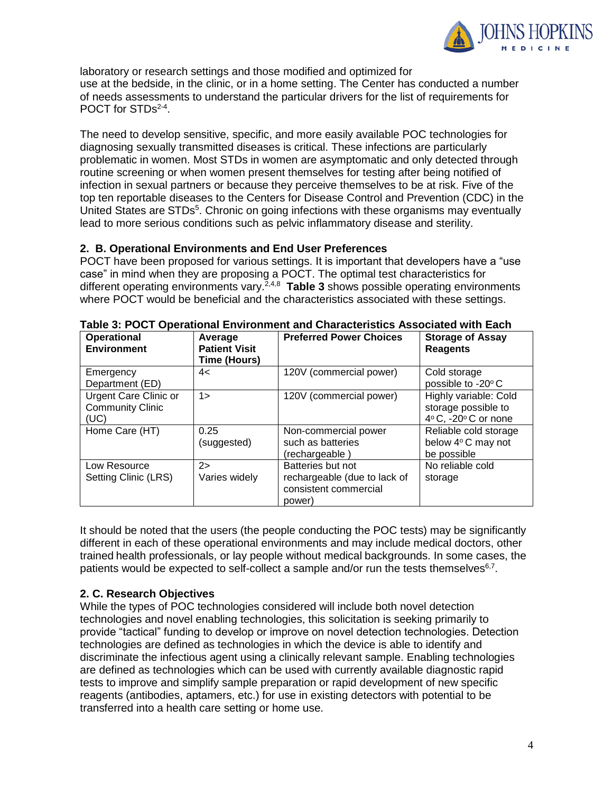

laboratory or research settings and those modified and optimized for use at the bedside, in the clinic, or in a home setting. The Center has conducted a number of needs assessments to understand the particular drivers for the list of requirements for POCT for STDs<sup>2-4</sup>.

The need to develop sensitive, specific, and more easily available POC technologies for diagnosing sexually transmitted diseases is critical. These infections are particularly problematic in women. Most STDs in women are asymptomatic and only detected through routine screening or when women present themselves for testing after being notified of infection in sexual partners or because they perceive themselves to be at risk. Five of the top ten reportable diseases to the Centers for Disease Control and Prevention (CDC) in the United States are STDs<sup>5</sup>. Chronic on going infections with these organisms may eventually lead to more serious conditions such as pelvic inflammatory disease and sterility.

### **2. B. Operational Environments and End User Preferences**

POCT have been proposed for various settings. It is important that developers have a "use case" in mind when they are proposing a POCT. The optimal test characteristics for different operating environments vary.<sup>2,4,8</sup> Table 3 shows possible operating environments where POCT would be beneficial and the characteristics associated with these settings.

| <b>Operational</b><br><b>Environment</b>                        | Average<br><b>Patient Visit</b><br>Time (Hours) | <b>Preferred Power Choices</b>                                                       | <b>Storage of Assay</b><br><b>Reagents</b>                         |
|-----------------------------------------------------------------|-------------------------------------------------|--------------------------------------------------------------------------------------|--------------------------------------------------------------------|
| Emergency<br>Department (ED)                                    | 4<                                              | 120V (commercial power)                                                              | Cold storage<br>possible to -20°C                                  |
| <b>Urgent Care Clinic or</b><br><b>Community Clinic</b><br>(UC) | $1\geq$                                         | 120V (commercial power)                                                              | Highly variable: Cold<br>storage possible to<br>4°C, -20°C or none |
| Home Care (HT)                                                  | 0.25<br>(suggested)                             | Non-commercial power<br>such as batteries<br>(rechargeable)                          | Reliable cold storage<br>below 4°C may not<br>be possible          |
| Low Resource<br>Setting Clinic (LRS)                            | $2\geq$<br>Varies widely                        | Batteries but not<br>rechargeable (due to lack of<br>consistent commercial<br>power) | No reliable cold<br>storage                                        |

**Table 3: POCT Operational Environment and Characteristics Associated with Each**

It should be noted that the users (the people conducting the POC tests) may be significantly different in each of these operational environments and may include medical doctors, other trained health professionals, or lay people without medical backgrounds. In some cases, the patients would be expected to self-collect a sample and/or run the tests themselves $6,7$ .

### **2. C. Research Objectives**

While the types of POC technologies considered will include both novel detection technologies and novel enabling technologies, this solicitation is seeking primarily to provide "tactical" funding to develop or improve on novel detection technologies. Detection technologies are defined as technologies in which the device is able to identify and discriminate the infectious agent using a clinically relevant sample. Enabling technologies are defined as technologies which can be used with currently available diagnostic rapid tests to improve and simplify sample preparation or rapid development of new specific reagents (antibodies, aptamers, etc.) for use in existing detectors with potential to be transferred into a health care setting or home use.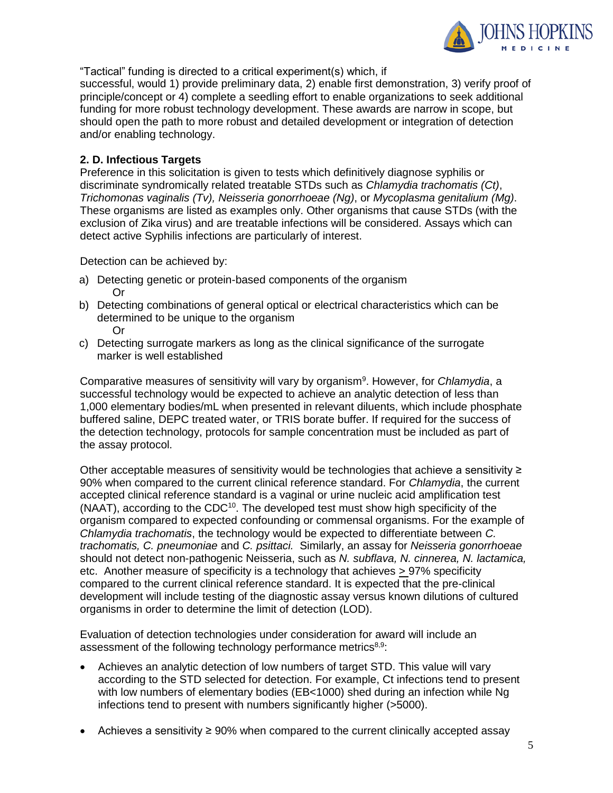

"Tactical" funding is directed to a critical experiment(s) which, if

successful, would 1) provide preliminary data, 2) enable first demonstration, 3) verify proof of principle/concept or 4) complete a seedling effort to enable organizations to seek additional funding for more robust technology development. These awards are narrow in scope, but should open the path to more robust and detailed development or integration of detection and/or enabling technology.

### **2. D. Infectious Targets**

Preference in this solicitation is given to tests which definitively diagnose syphilis or discriminate syndromically related treatable STDs such as *Chlamydia trachomatis (Ct)*, *Trichomonas vaginalis (Tv), Neisseria gonorrhoeae (Ng)*, or *Mycoplasma genitalium (Mg)*. These organisms are listed as examples only. Other organisms that cause STDs (with the exclusion of Zika virus) and are treatable infections will be considered. Assays which can detect active Syphilis infections are particularly of interest.

Detection can be achieved by:

- a) Detecting genetic or protein-based components of the organism Or
- b) Detecting combinations of general optical or electrical characteristics which can be determined to be unique to the organism Or
- c) Detecting surrogate markers as long as the clinical significance of the surrogate marker is well established

Comparative measures of sensitivity will vary by organism<sup>9</sup>. However, for *Chlamydia*, a successful technology would be expected to achieve an analytic detection of less than 1,000 elementary bodies/mL when presented in relevant diluents, which include phosphate buffered saline, DEPC treated water, or TRIS borate buffer. If required for the success of the detection technology, protocols for sample concentration must be included as part of the assay protocol.

Other acceptable measures of sensitivity would be technologies that achieve a sensitivity ≥ 90% when compared to the current clinical reference standard. For *Chlamydia*, the current accepted clinical reference standard is a vaginal or urine nucleic acid amplification test  $(NAAT)$ , according to the CDC $10$ . The developed test must show high specificity of the organism compared to expected confounding or commensal organisms. For the example of *Chlamydia trachomatis*, the technology would be expected to differentiate between *C. trachomatis, C. pneumoniae* and *C. psittaci.* Similarly, an assay for *Neisseria gonorrhoeae* should not detect non-pathogenic Neisseria, such as *N. subflava, N. cinnerea, N. lactamica,* etc. Another measure of specificity is a technology that achieves > 97% specificity compared to the current clinical reference standard. It is expected that the pre-clinical development will include testing of the diagnostic assay versus known dilutions of cultured organisms in order to determine the limit of detection (LOD).

Evaluation of detection technologies under consideration for award will include an assessment of the following technology performance metrics<sup>8,9</sup>:

- Achieves an analytic detection of low numbers of target STD. This value will vary according to the STD selected for detection. For example, Ct infections tend to present with low numbers of elementary bodies (EB<1000) shed during an infection while Ng infections tend to present with numbers significantly higher (>5000).
- Achieves a sensitivity ≥ 90% when compared to the current clinically accepted assay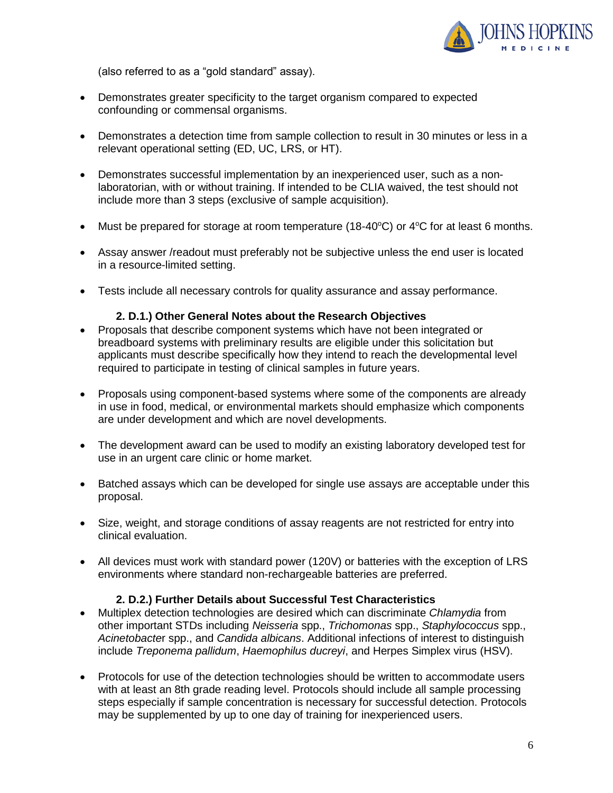

(also referred to as a "gold standard" assay).

- Demonstrates greater specificity to the target organism compared to expected confounding or commensal organisms.
- Demonstrates a detection time from sample collection to result in 30 minutes or less in a relevant operational setting (ED, UC, LRS, or HT).
- Demonstrates successful implementation by an inexperienced user, such as a nonlaboratorian, with or without training. If intended to be CLIA waived, the test should not include more than 3 steps (exclusive of sample acquisition).
- Must be prepared for storage at room temperature (18-40 $^{\circ}$ C) or 4 $^{\circ}$ C for at least 6 months.
- Assay answer /readout must preferably not be subjective unless the end user is located in a resource-limited setting.
- Tests include all necessary controls for quality assurance and assay performance.

#### **2. D.1.) Other General Notes about the Research Objectives**

- Proposals that describe component systems which have not been integrated or breadboard systems with preliminary results are eligible under this solicitation but applicants must describe specifically how they intend to reach the developmental level required to participate in testing of clinical samples in future years.
- Proposals using component-based systems where some of the components are already in use in food, medical, or environmental markets should emphasize which components are under development and which are novel developments.
- The development award can be used to modify an existing laboratory developed test for use in an urgent care clinic or home market.
- Batched assays which can be developed for single use assays are acceptable under this proposal.
- Size, weight, and storage conditions of assay reagents are not restricted for entry into clinical evaluation.
- All devices must work with standard power (120V) or batteries with the exception of LRS environments where standard non-rechargeable batteries are preferred.

#### **2. D.2.) Further Details about Successful Test Characteristics**

- Multiplex detection technologies are desired which can discriminate *Chlamydia* from other important STDs including *Neisseria* spp., *Trichomonas* spp., *Staphylococcus* spp., *Acinetobacte*r spp., and *Candida albicans*. Additional infections of interest to distinguish include *Treponema pallidum*, *Haemophilus ducreyi*, and Herpes Simplex virus (HSV).
- Protocols for use of the detection technologies should be written to accommodate users with at least an 8th grade reading level. Protocols should include all sample processing steps especially if sample concentration is necessary for successful detection. Protocols may be supplemented by up to one day of training for inexperienced users.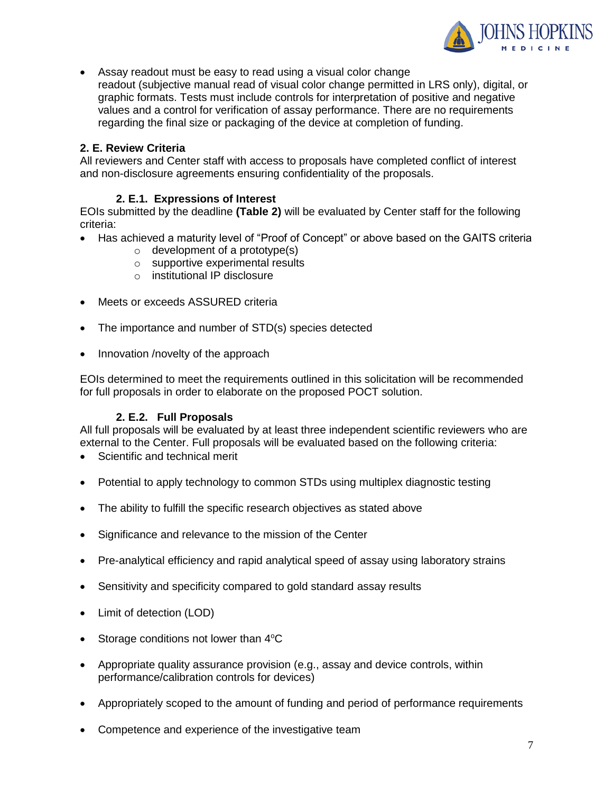

 Assay readout must be easy to read using a visual color change readout (subjective manual read of visual color change permitted in LRS only), digital, or graphic formats. Tests must include controls for interpretation of positive and negative values and a control for verification of assay performance. There are no requirements regarding the final size or packaging of the device at completion of funding.

# **2. E. Review Criteria**

All reviewers and Center staff with access to proposals have completed conflict of interest and non-disclosure agreements ensuring confidentiality of the proposals.

## **2. E.1. Expressions of Interest**

EOIs submitted by the deadline **(Table 2)** will be evaluated by Center staff for the following criteria:

- Has achieved a maturity level of "Proof of Concept" or above based on the GAITS criteria
	- $\circ$  development of a prototype(s)
	- o supportive experimental results
	- o institutional IP disclosure
- Meets or exceeds ASSURED criteria
- The importance and number of STD(s) species detected
- Innovation /novelty of the approach

EOIs determined to meet the requirements outlined in this solicitation will be recommended for full proposals in order to elaborate on the proposed POCT solution.

#### **2. E.2. Full Proposals**

All full proposals will be evaluated by at least three independent scientific reviewers who are external to the Center. Full proposals will be evaluated based on the following criteria:

- Scientific and technical merit
- Potential to apply technology to common STDs using multiplex diagnostic testing
- The ability to fulfill the specific research objectives as stated above
- Significance and relevance to the mission of the Center
- Pre-analytical efficiency and rapid analytical speed of assay using laboratory strains
- Sensitivity and specificity compared to gold standard assay results
- Limit of detection (LOD)
- Storage conditions not lower than 4°C
- Appropriate quality assurance provision (e.g., assay and device controls, within performance/calibration controls for devices)
- Appropriately scoped to the amount of funding and period of performance requirements
- Competence and experience of the investigative team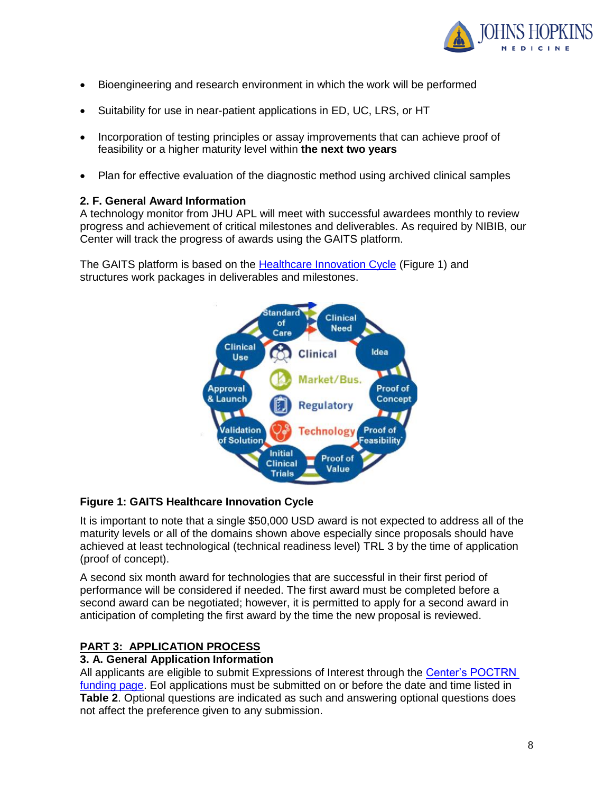

- Bioengineering and research environment in which the work will be performed
- Suitability for use in near-patient applications in ED, UC, LRS, or HT
- Incorporation of testing principles or assay improvements that can achieve proof of feasibility or a higher maturity level within **the next two years**
- Plan for effective evaluation of the diagnostic method using archived clinical samples

### **2. F. General Award Information**

A technology monitor from JHU APL will meet with successful awardees monthly to review progress and achievement of critical milestones and deliverables. As required by NIBIB, our Center will track the progress of awards using the GAITS platform.

The GAITS platform is based on the [Healthcare Innovation Cycle](https://cimit.net/web/gaits-community/-/1b-gaits-overview) (Figure 1) and structures work packages in deliverables and milestones.



### **Figure 1: GAITS Healthcare Innovation Cycle**

It is important to note that a single \$50,000 USD award is not expected to address all of the maturity levels or all of the domains shown above especially since proposals should have achieved at least technological (technical readiness level) TRL 3 by the time of application (proof of concept).

A second six month award for technologies that are successful in their first period of performance will be considered if needed. The first award must be completed before a second award can be negotiated; however, it is permitted to apply for a second award in anticipation of completing the first award by the time the new proposal is reviewed.

# **PART 3: APPLICATION PROCESS**

### **3. A. General Application Information**

All applicants are eligible to submit Expressions of Interest through the Center's POCTRN [funding page.](https://cimit.net/web/jhu/funding-opportunity-description) EoI applications must be submitted on or before the date and time listed in **Table 2**. Optional questions are indicated as such and answering optional questions does not affect the preference given to any submission.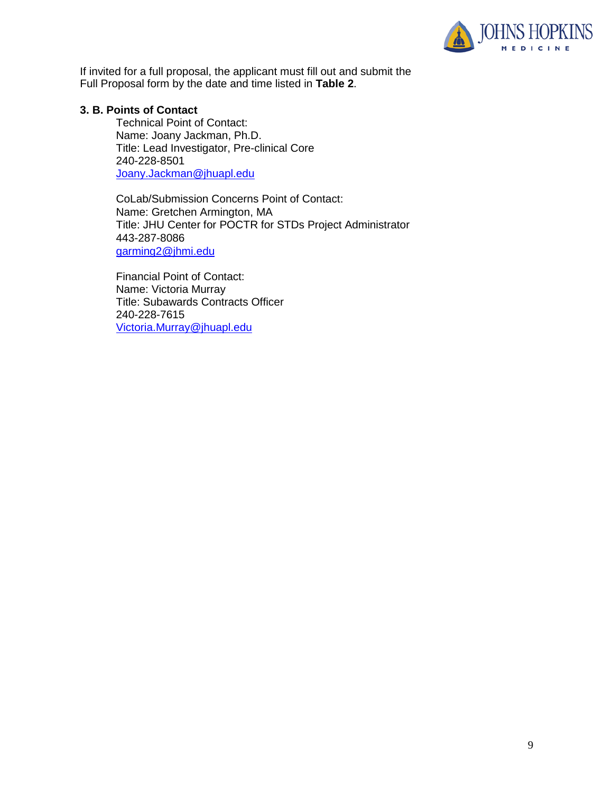

If invited for a full proposal, the applicant must fill out and submit the Full Proposal form by the date and time listed in **Table 2**.

#### **3. B. Points of Contact**

Technical Point of Contact: Name: Joany Jackman, Ph.D. Title: Lead Investigator, Pre-clinical Core 240-228-8501 [Joany.Jackman@jhuapl.edu](mailto:Joany.Jackman@jhuapl.edu)

CoLab/Submission Concerns Point of Contact: Name: Gretchen Armington, MA Title: JHU Center for POCTR for STDs Project Administrator 443-287-8086 [garming2@jhmi.edu](mailto:garming2@jhmi.edu)

Financial Point of Contact: Name: Victoria Murray Title: Subawards Contracts Officer 240-228-7615 [Victoria.Murray@jhuapl.edu](mailto:Victoria.Murray@jhuapl.edu)